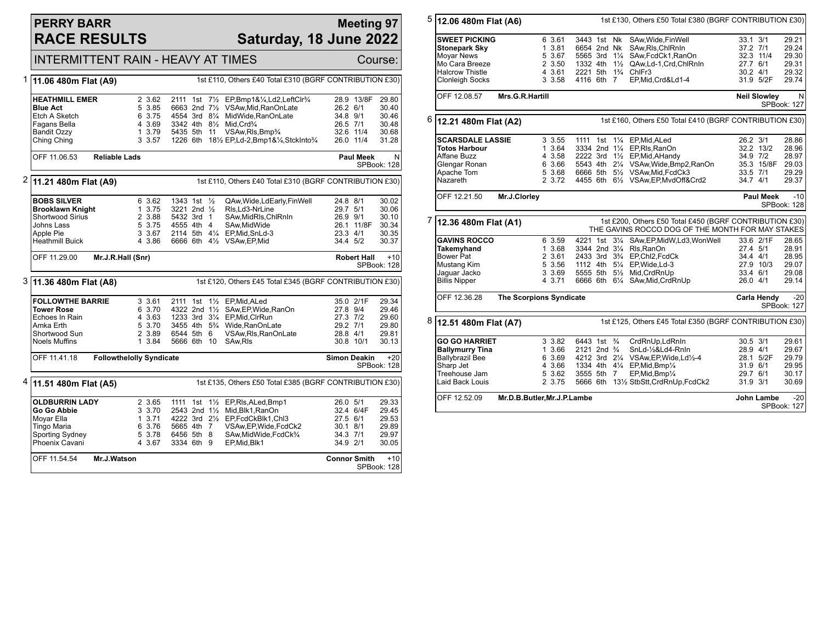### **PERRY BARR RACE RESULTS**

#### **Meeting 97 Saturday, 18 June 2022**

|   | <b>INTERMITTENT RAIN - HEAVY AT TIMES</b><br>Course:                                                                                 |                                                          |                                                                                                   |                                                                                                                                                                                                       |                                                                          |                                                    |  |  |  |
|---|--------------------------------------------------------------------------------------------------------------------------------------|----------------------------------------------------------|---------------------------------------------------------------------------------------------------|-------------------------------------------------------------------------------------------------------------------------------------------------------------------------------------------------------|--------------------------------------------------------------------------|----------------------------------------------------|--|--|--|
| 1 | 1st £110, Others £40 Total £310 (BGRF CONTRIBUTION £30)<br>11.06 480m Flat (A9)                                                      |                                                          |                                                                                                   |                                                                                                                                                                                                       |                                                                          |                                                    |  |  |  |
|   | <b>HEATHMILL EMER</b><br><b>Blue Act</b><br>Etch A Sketch<br>Fagans Bella<br><b>Bandit Ozzy</b><br>Ching Ching                       | 2 3.62<br>5 3.85<br>6 3.75<br>4 3.69<br>1 3.79<br>3 3.57 | 3342 4th 81/2 Mid, Crd3/4<br>5435 5th 11                                                          | 2111 1st 71/2 EP, Bmp1&1/4, Ld2, LeftClr3/4<br>6663 2nd 71/2 VSAw, Mid, RanOnLate<br>4554 3rd 81/4 MidWide.RanOnLate<br>VSAw, RIs, Bmp <sup>3</sup> /4<br>1226 6th 181/2 EP,Ld-2,Bmp1&1/4,StckInto3/4 | 28.9 13/8F<br>26.2 6/1<br>34.8 9/1<br>26.5 7/1<br>32.6 11/4<br>26.0 11/4 | 29.80<br>30.40<br>30.46<br>30.48<br>30.68<br>31.28 |  |  |  |
|   | OFF 11.06.53<br><b>Reliable Lads</b><br><b>Paul Meek</b><br>SPBook: 128                                                              |                                                          |                                                                                                   |                                                                                                                                                                                                       |                                                                          |                                                    |  |  |  |
| 2 | 11.21 480m Flat (A9)                                                                                                                 |                                                          |                                                                                                   | 1st £110, Others £40 Total £310 (BGRF CONTRIBUTION £30)                                                                                                                                               |                                                                          |                                                    |  |  |  |
|   | <b>BOBS SILVER</b><br><b>Brooklawn Knight</b><br><b>Shortwood Sirius</b><br><b>Johns Lass</b><br>Apple Pie<br><b>Heathmill Buick</b> | 6 3.62<br>1 3.75<br>2 3.88<br>5 3.75<br>3 3.67<br>4 3.86 | 1343 1st $\frac{1}{2}$<br>3221 2nd 1/2<br>5432 3rd 1<br>4555 4th 4<br>6666 6th 41/2 VSAw, EP, Mid | QAw, Wide, LdEarly, Fin Well<br>RIs.Ld3-NrLine<br>SAw, MidRIs, ChlRnIn<br>SAw.MidWide<br>2114 5th 41/4 EP, Mid, SnLd-3                                                                                | 24.8 8/1<br>29.7 5/1<br>26.9 9/1<br>26.1 11/8F<br>23.3 4/1<br>34.4 5/2   | 30.02<br>30.06<br>30.10<br>30.34<br>30.35<br>30.37 |  |  |  |
|   | OFF 11.29.00                                                                                                                         | Mr.J.R.Hall (Snr)                                        |                                                                                                   |                                                                                                                                                                                                       | <b>Robert Hall</b>                                                       | $+10$<br>SPBook: 128                               |  |  |  |
|   | 1st £120, Others £45 Total £345 (BGRF CONTRIBUTION £30)<br>3 11.36 480m Flat (A8)                                                    |                                                          |                                                                                                   |                                                                                                                                                                                                       |                                                                          |                                                    |  |  |  |
|   | <b>FOLLOWTHE BARRIE</b><br>Tower Rose<br>Echoes In Rain<br>Amka Erth<br>Shortwood Sun<br><b>Noels Muffins</b>                        | 3 3.61<br>6 3.70<br>4 3.63<br>5 3.70<br>2 3.89<br>1 3.84 | 2111 1st 11/2 EP, Mid, ALed<br>1233 3rd 31/4 EP, Mid, CIrRun<br>6544 5th 6<br>5666 6th 10         | 4322 2nd 11/2 SAw, EP, Wide, RanOn<br>3455 4th 5 <sup>3</sup> / <sub>4</sub> Wide, RanOnLate<br>VSAw, RIs, RanOnLate<br>SAw, RIs                                                                      | 35.0 2/1F<br>27.8 9/4<br>27.3 7/2<br>29.2 7/1<br>28.8 4/1<br>30.8 10/1   | 29.34<br>29.46<br>29.60<br>29.80<br>29.81<br>30.13 |  |  |  |
|   | <b>Followthelolly Syndicate</b><br>OFF 11.41.18<br><b>Simon Deakin</b><br>$+20$<br>SPBook: 128                                       |                                                          |                                                                                                   |                                                                                                                                                                                                       |                                                                          |                                                    |  |  |  |
| 4 | 11.51 480m Flat (A5)                                                                                                                 |                                                          |                                                                                                   | 1st £135, Others £50 Total £385 (BGRF CONTRIBUTION £30)                                                                                                                                               |                                                                          |                                                    |  |  |  |
|   | <b>OLDBURRIN LADY</b><br>Go Go Abbie<br>Moyar Ella<br>Tingo Maria<br><b>Sporting Sydney</b><br>Phoenix Cavani                        | 2 3.65<br>3 3.70<br>13.71<br>6 3.76<br>5 3.78<br>4 3.67  | 5665 4th 7<br>6456 5th 8<br>3334 6th 9                                                            | 1111 1st 11/2 EP, RIs, ALed, Bmp1<br>2543 2nd 11/2 Mid. Blk1. RanOn<br>4222 3rd 21/2 EP, FcdCkBlk1, Chl3<br>VSAw, EP, Wide, FcdCk2<br>SAw, MidWide, FcdCk3/4<br>EP, Mid, Blk1                         | 26.0 5/1<br>32.4 6/4F<br>27.5 6/1<br>30.1 8/1<br>34.3 7/1<br>34.9 2/1    | 29.33<br>29.45<br>29.53<br>29.89<br>29.97<br>30.05 |  |  |  |
|   | OFF 11.54.54<br>Mr.J.Watson                                                                                                          |                                                          |                                                                                                   |                                                                                                                                                                                                       | <b>Connor Smith</b>                                                      | $+10$<br>SPBook: 128                               |  |  |  |

| 5                               | 12.06 480m Flat (A6)    |                                |        |                                      |  | 1st £130, Others £50 Total £380 (BGRF CONTRIBUTION £30)                                                     |            |                                         |                      |  |
|---------------------------------|-------------------------|--------------------------------|--------|--------------------------------------|--|-------------------------------------------------------------------------------------------------------------|------------|-----------------------------------------|----------------------|--|
|                                 | <b>SWEET PICKING</b>    |                                | 6 3.61 | 3443 1st Nk                          |  | SAw, Wide, Fin Well                                                                                         | 33.1 3/1   |                                         | 29.21                |  |
|                                 | <b>Stonepark Sky</b>    |                                | 1 3.81 | 6654 2nd Nk                          |  | SAw, RIs, ChIRnIn                                                                                           | 37.2 7/1   |                                         | 29.24                |  |
|                                 | <b>Moyar News</b>       |                                | 5 3.67 |                                      |  | 5565 3rd 11/4 SAw, FcdCk1, RanOn                                                                            | 32.3 11/4  |                                         | 29.30                |  |
|                                 | Mo Cara Breeze          |                                | 2 3.50 |                                      |  | 1332 4th 11/2 QAw, Ld-1, Crd, ChlRnIn                                                                       | 27.7 6/1   |                                         | 29.31                |  |
|                                 | <b>Halcrow Thistle</b>  |                                | 4 3.61 |                                      |  | 2221 5th 1% ChlFr3                                                                                          | $30.2$ 4/1 |                                         | 29.32                |  |
|                                 | <b>Clonleigh Socks</b>  |                                | 3 3.58 | 4116 6th 7                           |  | EP,Mid,Crd&Ld1-4                                                                                            |            | 31.9 5/2F                               | 29.74                |  |
|                                 |                         |                                |        |                                      |  |                                                                                                             |            |                                         |                      |  |
| Mrs.G.R.Hartill<br>OFF 12.08.57 |                         |                                |        |                                      |  |                                                                                                             |            | N<br><b>Neil Slowley</b><br>SPBook: 127 |                      |  |
| 6                               | 12.21 480m Flat (A2)    |                                |        |                                      |  | 1st £160, Others £50 Total £410 (BGRF CONTRIBUTION £30)                                                     |            |                                         |                      |  |
|                                 | <b>SCARSDALE LASSIE</b> |                                | 3 3.55 |                                      |  | 1111 1st 11/4 EP, Mid, ALed                                                                                 | 26.2 3/1   |                                         | 28.86                |  |
|                                 | Totos Harbour           |                                | 1 3.64 |                                      |  | 3334 2nd 11/4 EP, RIs, RanOn                                                                                |            | 32.2 13/2                               | 28.96                |  |
|                                 | Affane Buzz             |                                | 4 3.58 |                                      |  | 2222 3rd 11/2 EP, Mid, AHandy                                                                               | 34.9 7/2   |                                         | 28.97                |  |
|                                 | Glengar Ronan           |                                | 6 3.66 |                                      |  | 5543 4th 21/4 VSAw, Wide, Bmp2, RanOn                                                                       |            | 35.3 15/8F                              | 29.03                |  |
|                                 | Apache Tom              |                                | 5 3.68 |                                      |  | 6666 5th 51/2 VSAw, Mid, FcdCk3                                                                             | 33.5 7/1   |                                         | 29.29                |  |
|                                 | Nazareth                |                                | 2 3.72 |                                      |  | 4455 6th 61/2 VSAw, EP, MvdOff&Crd2                                                                         | 34.7 4/1   |                                         | 29.37                |  |
|                                 | OFF 12.21.50            | Mr.J.Clorley                   |        |                                      |  |                                                                                                             |            | <b>Paul Meek</b>                        | $-10$<br>SPBook: 128 |  |
|                                 |                         |                                |        |                                      |  |                                                                                                             |            |                                         |                      |  |
|                                 | 12.36 480m Flat (A1)    |                                |        |                                      |  | 1st £200, Others £50 Total £450 (BGRF CONTRIBUTION £30)<br>THE GAVINS ROCCO DOG OF THE MONTH FOR MAY STAKES |            |                                         |                      |  |
|                                 | <b>GAVINS ROCCO</b>     |                                | 6 3.59 |                                      |  | 4221 1st 31/4 SAw, EP, Mid W, Ld 3, Won Well                                                                |            | 33.6 2/1F                               | 28.65                |  |
|                                 | Takemyhand              |                                | 1 3.68 |                                      |  | 3344 2nd 31/4 Rls, RanOn                                                                                    | 27.4 5/1   |                                         | 28.91                |  |
|                                 | Bower Pat               |                                | 2 3.61 |                                      |  | 2433 3rd 3 <sup>3</sup> / <sub>4</sub> EP, Chl2, FcdCk                                                      | 34.4 4/1   |                                         | 28.95                |  |
|                                 | Mustang Kim             |                                | 5 3.56 |                                      |  | 1112 4th 51/4 EP, Wide, Ld-3                                                                                |            | 27.9 10/3                               | 29.07                |  |
|                                 | Jaquar Jacko            |                                | 3 3.69 |                                      |  | 5555 5th 51/2 Mid, CrdRnUp                                                                                  | 33.4 6/1   |                                         | 29.08                |  |
| 7                               | <b>Billis Nipper</b>    |                                | 4 3.71 |                                      |  | 6666 6th 61/4 SAw, Mid, CrdRnUp                                                                             | 26.0 4/1   |                                         | 29.14                |  |
|                                 | OFF 12.36.28            | <b>The Scorpions Syndicate</b> |        |                                      |  |                                                                                                             |            | <b>Carla Hendy</b>                      | $-20$<br>SPBook: 127 |  |
| 8                               | 12.51 480m Flat (A7)    |                                |        |                                      |  | 1st £125, Others £45 Total £350 (BGRF CONTRIBUTION £30)                                                     |            |                                         |                      |  |
|                                 | <b>GO GO HARRIET</b>    |                                | 3 3.82 | 6443 1st 3/4                         |  | CrdRnUp,LdRnIn                                                                                              | 30.5 3/1   |                                         | 29.61                |  |
|                                 | <b>Ballymurry Tina</b>  |                                | 1 3.66 | 2121 2nd <sup>3</sup> / <sub>4</sub> |  | SnLd-1/2&Ld4-RnIn                                                                                           | 28.9 4/1   |                                         | 29.67                |  |
|                                 | <b>Ballybrazil Bee</b>  |                                | 6 3.69 |                                      |  | 4212 3rd 21/4 VSAw, EP, Wide, Ld1/2-4                                                                       |            | 28.1 5/2F                               | 29.79                |  |
|                                 | Sharp Jet               |                                | 4 3.66 |                                      |  | 1334 4th 41/4 EP, Mid, Bmp1/4                                                                               | 31.9 6/1   |                                         | 29.95                |  |
|                                 | Treehouse Jam           |                                | 5 3.62 | 3555 5th 7                           |  | EP, Mid, Bmp <sup>1</sup> / <sub>4</sub>                                                                    | 29.7 6/1   |                                         | 30.17                |  |
|                                 | Laid Back Louis         |                                | 2 3.75 |                                      |  | 5666 6th 131/2 StbStt, CrdRnUp, FcdCk2                                                                      | 31.9 3/1   |                                         | 30.69                |  |